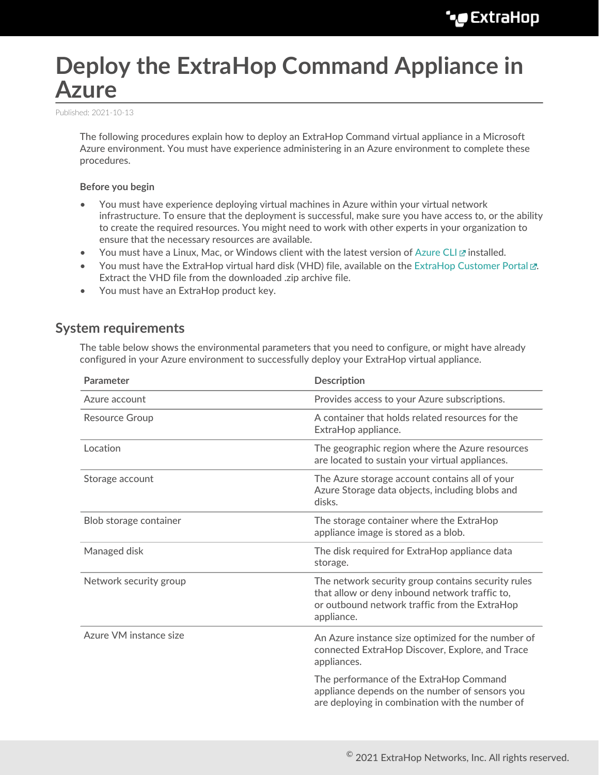# **Deploy the ExtraHop Command Appliance in Azure**

Published: 2021-10-13

The following procedures explain how to deploy an ExtraHop Command virtual appliance in a Microsoft Azure environment. You must have experience administering in an Azure environment to complete these procedures.

#### **Before you begin**

- You must have experience deploying virtual machines in Azure within your virtual network infrastructure. To ensure that the deployment is successful, make sure you have access to, or the ability to create the required resources. You might need to work with other experts in your organization to ensure that the necessary resources are available.
- You must have a Linux, Mac, or Windows client with the latest version of [Azure CLI](https://docs.microsoft.com/en-us/cli/azure/install-azure-cli?view=azure-cli-latest) E installed.
- You must have the ExtraHop virtual hard disk (VHD) file, available on the [ExtraHop Customer Portal .](https://customers.extrahop.com/downloads/virtual-appliances/).. Extract the VHD file from the downloaded .zip archive file.
- You must have an ExtraHop product key.

### **System requirements**

The table below shows the environmental parameters that you need to configure, or might have already configured in your Azure environment to successfully deploy your ExtraHop virtual appliance.

| Parameter              | <b>Description</b>                                                                                                                                                  |  |
|------------------------|---------------------------------------------------------------------------------------------------------------------------------------------------------------------|--|
| Azure account          | Provides access to your Azure subscriptions.                                                                                                                        |  |
| <b>Resource Group</b>  | A container that holds related resources for the<br>ExtraHop appliance.                                                                                             |  |
| Location               | The geographic region where the Azure resources<br>are located to sustain your virtual appliances.                                                                  |  |
| Storage account        | The Azure storage account contains all of your<br>Azure Storage data objects, including blobs and<br>disks.                                                         |  |
| Blob storage container | The storage container where the ExtraHop<br>appliance image is stored as a blob.                                                                                    |  |
| Managed disk           | The disk required for ExtraHop appliance data<br>storage.                                                                                                           |  |
| Network security group | The network security group contains security rules<br>that allow or deny inbound network traffic to,<br>or outbound network traffic from the ExtraHop<br>appliance. |  |
| Azure VM instance size | An Azure instance size optimized for the number of<br>connected ExtraHop Discover, Explore, and Trace<br>appliances.                                                |  |
|                        | The performance of the ExtraHop Command<br>appliance depends on the number of sensors you<br>are deploying in combination with the number of                        |  |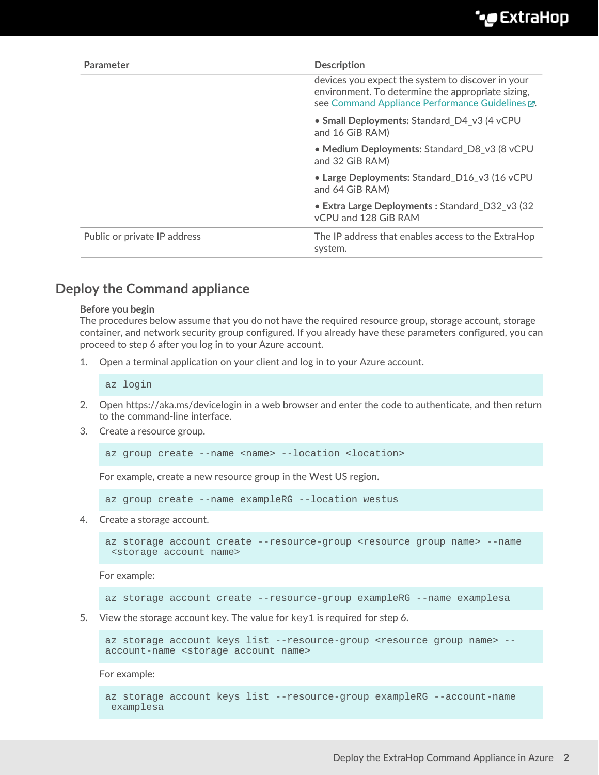## ExtraHop **@•**

| <b>Parameter</b>             | <b>Description</b>                                                                                                                                        |
|------------------------------|-----------------------------------------------------------------------------------------------------------------------------------------------------------|
|                              | devices you expect the system to discover in your<br>environment. To determine the appropriate sizing,<br>see Command Appliance Performance Guidelines E. |
|                              | • Small Deployments: Standard_D4_v3 (4 vCPU<br>and 16 GiB RAM)                                                                                            |
|                              | • Medium Deployments: Standard_D8_v3 (8 vCPU<br>and 32 GiB RAM)                                                                                           |
|                              | • Large Deployments: Standard_D16_v3 (16 vCPU<br>and 64 GiB RAM)                                                                                          |
|                              | • Extra Large Deployments: Standard_D32_v3 (32<br>vCPU and 128 GiB RAM                                                                                    |
| Public or private IP address | The IP address that enables access to the ExtraHop<br>system.                                                                                             |

### **Deploy the Command appliance**

#### **Before you begin**

The procedures below assume that you do not have the required resource group, storage account, storage container, and network security group configured. If you already have these parameters configured, you can proceed to step 6 after you log in to your Azure account.

1. Open a terminal application on your client and log in to your Azure account.

az login

- 2. Open https://aka.ms/devicelogin in a web browser and enter the code to authenticate, and then return to the command-line interface.
- 3. Create a resource group.

```
az group create --name <name> --location <location>
```
For example, create a new resource group in the West US region.

az group create --name exampleRG --location westus

4. Create a storage account.

az storage account create --resource-group <resource group name> --name <storage account name>

For example:

```
az storage account create --resource-group exampleRG --name examplesa
```
5. View the storage account key. The value for  $key1$  is required for step 6.

az storage account keys list --resource-group <resource group name> -account-name <storage account name>

For example:

```
az storage account keys list --resource-group exampleRG --account-name
 examplesa
```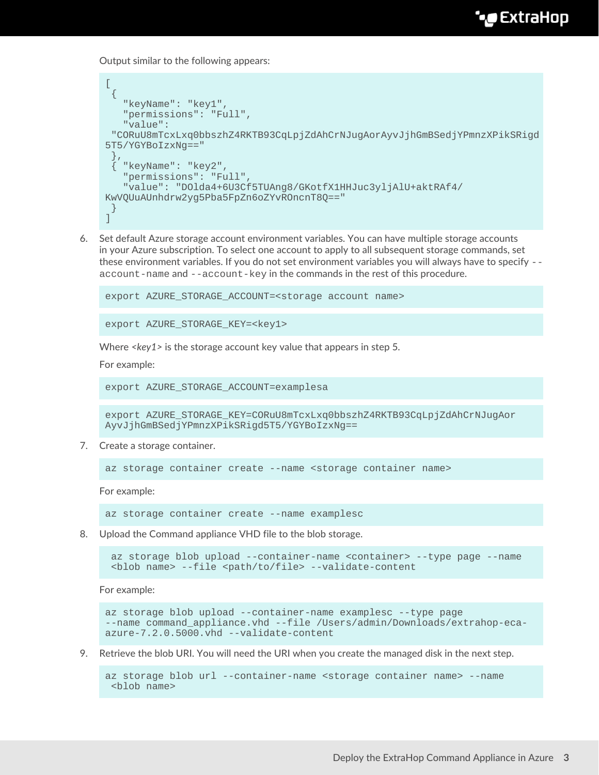## **∙e** ExtraHop

Output similar to the following appears:

```
\Gamma {
    "keyName": "key1",
    "permissions": "Full",
    "value":
  "CORuU8mTcxLxq0bbszhZ4RKTB93CqLpjZdAhCrNJugAorAyvJjhGmBSedjYPmnzXPikSRigd
5T5/YGYBoIzxNg=="
 },
   { "keyName": "key2",
    "permissions": "Full",
    "value": "DOlda4+6U3Cf5TUAng8/GKotfX1HHJuc3yljAlU+aktRAf4/
KwVQUuAUnhdrw2yg5Pba5FpZn6oZYvROncnT8Q=="
 }
]
```
6. Set default Azure storage account environment variables. You can have multiple storage accounts in your Azure subscription. To select one account to apply to all subsequent storage commands, set these environment variables. If you do not set environment variables you will always have to specify - account-name and --account-key in the commands in the rest of this procedure.

export AZURE\_STORAGE\_ACCOUNT=<storage account name>

export AZURE STORAGE KEY=<key1>

Where *<key1>* is the storage account key value that appears in step 5.

For example:

export AZURE\_STORAGE\_ACCOUNT=examplesa

export AZURE\_STORAGE\_KEY=CORuU8mTcxLxq0bbszhZ4RKTB93CqLpjZdAhCrNJugAor AyvJjhGmBSedjYPmnzXPikSRigd5T5/YGYBoIzxNg==

7. Create a storage container.

az storage container create --name <storage container name>

For example:

az storage container create --name examplesc

8. Upload the Command appliance VHD file to the blob storage.

 az storage blob upload --container-name <container> --type page --name <blob name> --file <path/to/file> --validate-content

For example:

```
az storage blob upload --container-name examplesc --type page
--name command_appliance.vhd --file /Users/admin/Downloads/extrahop-eca-
azure-7.2.0.5000.vhd --validate-content
```
9. Retrieve the blob URI. You will need the URI when you create the managed disk in the next step.

```
az storage blob url --container-name <storage container name> --name
 <blob name>
```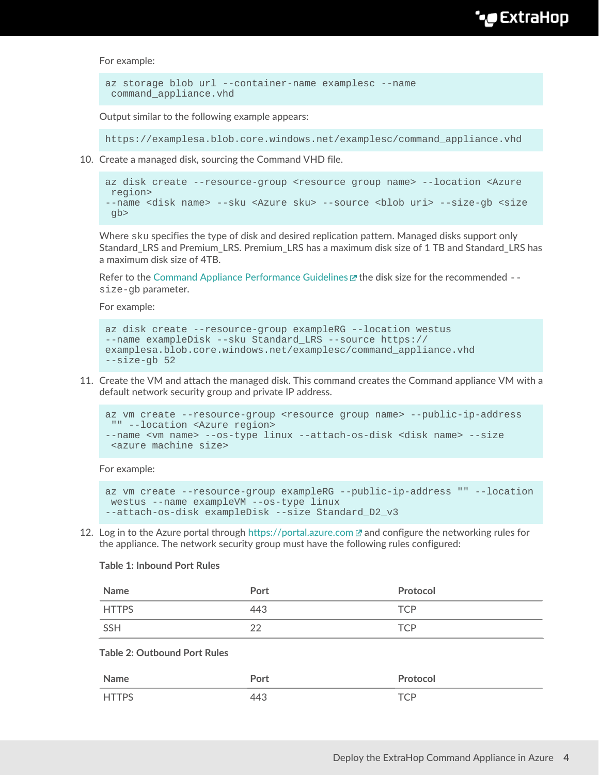•e ExtraHop

For example:

```
az storage blob url --container-name examplesc --name
 command_appliance.vhd
```
Output similar to the following example appears:

https://examplesa.blob.core.windows.net/examplesc/command\_appliance.vhd

10. Create a managed disk, sourcing the Command VHD file.

```
az disk create --resource-group <resource group name> --location <Azure
 region> 
--name <disk name> --sku <Azure sku> --source <blob uri> --size-gb <size
 gb>
```
Where sku specifies the type of disk and desired replication pattern. Managed disks support only Standard\_LRS and Premium\_LRS. Premium\_LRS has a maximum disk size of 1 TB and Standard\_LRS has a maximum disk size of 4TB.

Refer to the [Command Appliance Performance Guidelines](https://docs.extrahop.com/8.4/customers/eca-guidelines)  $\mathbb Z$  the disk size for the recommended  $-\mathbb Z$ size-gb parameter.

For example:

```
az disk create --resource-group exampleRG --location westus 
--name exampleDisk --sku Standard_LRS --source https://
examplesa.blob.core.windows.net/examplesc/command_appliance.vhd 
--size-gb 52
```
11. Create the VM and attach the managed disk. This command creates the Command appliance VM with a default network security group and private IP address.

```
az vm create --resource-group <resource group name> --public-ip-address
 "" --location <Azure region> 
--name <vm name> --os-type linux --attach-os-disk <disk name> --size
 <azure machine size>
```
For example:

```
az vm create --resource-group exampleRG --public-ip-address "" --location
 westus --name exampleVM --os-type linux 
--attach-os-disk exampleDisk --size Standard_D2_v3
```
12. Log in to the Azure portal through <https://portal.azure.com>**and configure the networking rules for** the appliance. The network security group must have the following rules configured:

**Table 1: Inbound Port Rules**

| Name         | Port | Protocol   |
|--------------|------|------------|
| <b>HTTPS</b> | 443  | <b>TCP</b> |
| <b>SSH</b>   |      | <b>TCP</b> |

**Table 2: Outbound Port Rules**

| Name         | Port | Protocol   |
|--------------|------|------------|
| <b>HTTPS</b> | 443  | <b>TCP</b> |